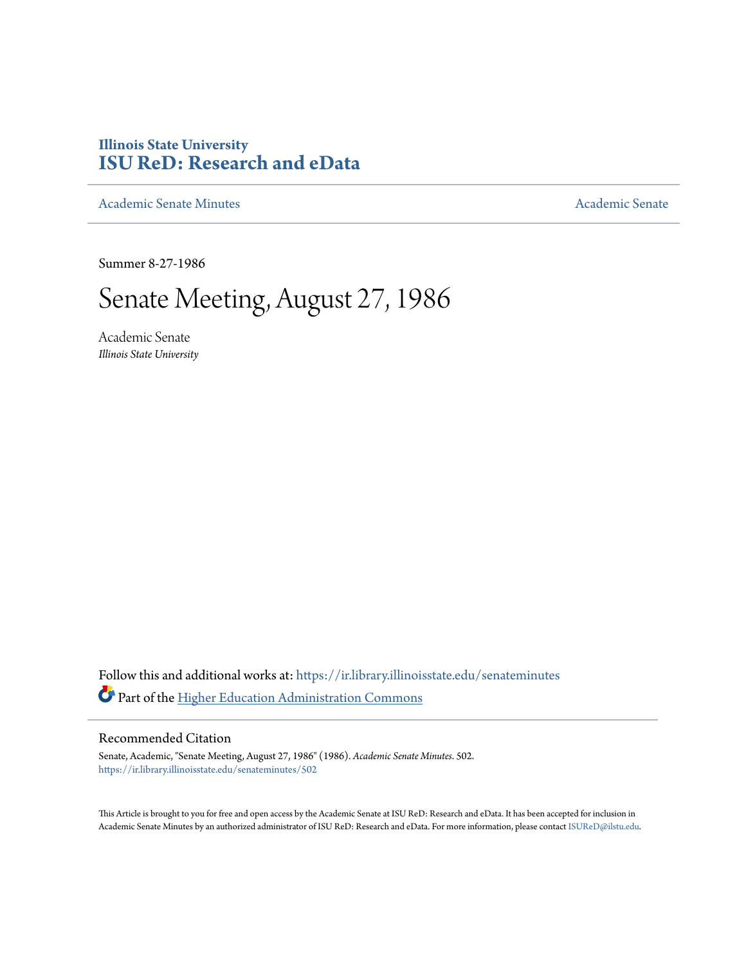# **Illinois State University [ISU ReD: Research and eData](https://ir.library.illinoisstate.edu?utm_source=ir.library.illinoisstate.edu%2Fsenateminutes%2F502&utm_medium=PDF&utm_campaign=PDFCoverPages)**

[Academic Senate Minutes](https://ir.library.illinoisstate.edu/senateminutes?utm_source=ir.library.illinoisstate.edu%2Fsenateminutes%2F502&utm_medium=PDF&utm_campaign=PDFCoverPages) [Academic Senate](https://ir.library.illinoisstate.edu/senate?utm_source=ir.library.illinoisstate.edu%2Fsenateminutes%2F502&utm_medium=PDF&utm_campaign=PDFCoverPages) Academic Senate

Summer 8-27-1986

# Senate Meeting, August 27, 1986

Academic Senate *Illinois State University*

Follow this and additional works at: [https://ir.library.illinoisstate.edu/senateminutes](https://ir.library.illinoisstate.edu/senateminutes?utm_source=ir.library.illinoisstate.edu%2Fsenateminutes%2F502&utm_medium=PDF&utm_campaign=PDFCoverPages) Part of the [Higher Education Administration Commons](http://network.bepress.com/hgg/discipline/791?utm_source=ir.library.illinoisstate.edu%2Fsenateminutes%2F502&utm_medium=PDF&utm_campaign=PDFCoverPages)

## Recommended Citation

Senate, Academic, "Senate Meeting, August 27, 1986" (1986). *Academic Senate Minutes*. 502. [https://ir.library.illinoisstate.edu/senateminutes/502](https://ir.library.illinoisstate.edu/senateminutes/502?utm_source=ir.library.illinoisstate.edu%2Fsenateminutes%2F502&utm_medium=PDF&utm_campaign=PDFCoverPages)

This Article is brought to you for free and open access by the Academic Senate at ISU ReD: Research and eData. It has been accepted for inclusion in Academic Senate Minutes by an authorized administrator of ISU ReD: Research and eData. For more information, please contact [ISUReD@ilstu.edu.](mailto:ISUReD@ilstu.edu)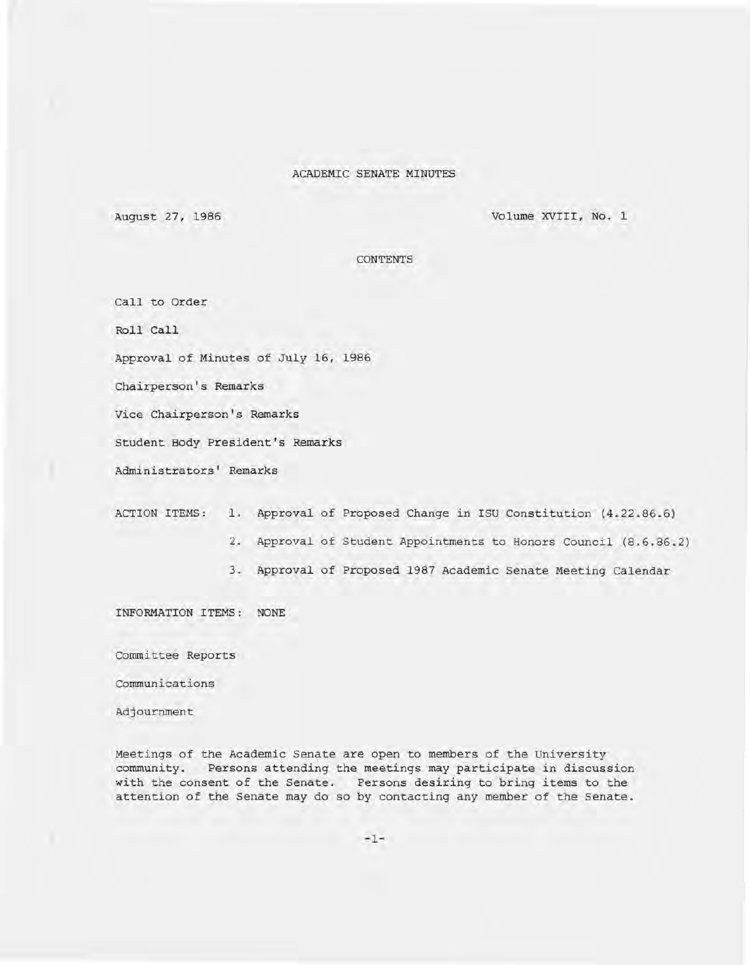#### ACADEMIC SENATE MINUTES

August 27, 1986 Volume XVIII, No.1

CONTENTS

Call to Order

Roll Call

Approval of Minutes of July 16, 1986

Chairperson's Remarks

Vice Chairperson's Remarks

Student Body President's Remarks

Administrators' Remarks

ACTION ITEMS: 1. Approval of Proposed Change in ISU Constitution (4.22.86.6)

- 2. Approval of Student Appointments to Honors Council (8.6.86.2)
- 3. Approval of Proposed 1987 Academic Senate Meeting Calendar

INFORMATION ITEMS: NONE

Committee Reports

communications

Adjournment

Meetings of the Academic Senate are open to members of the University community. Persons attending the meetings may participate in discussion with the consent of the Senate. Persons desiring to bring items to the attention of the Senate may do so by contacting any member of the Senate.

-1-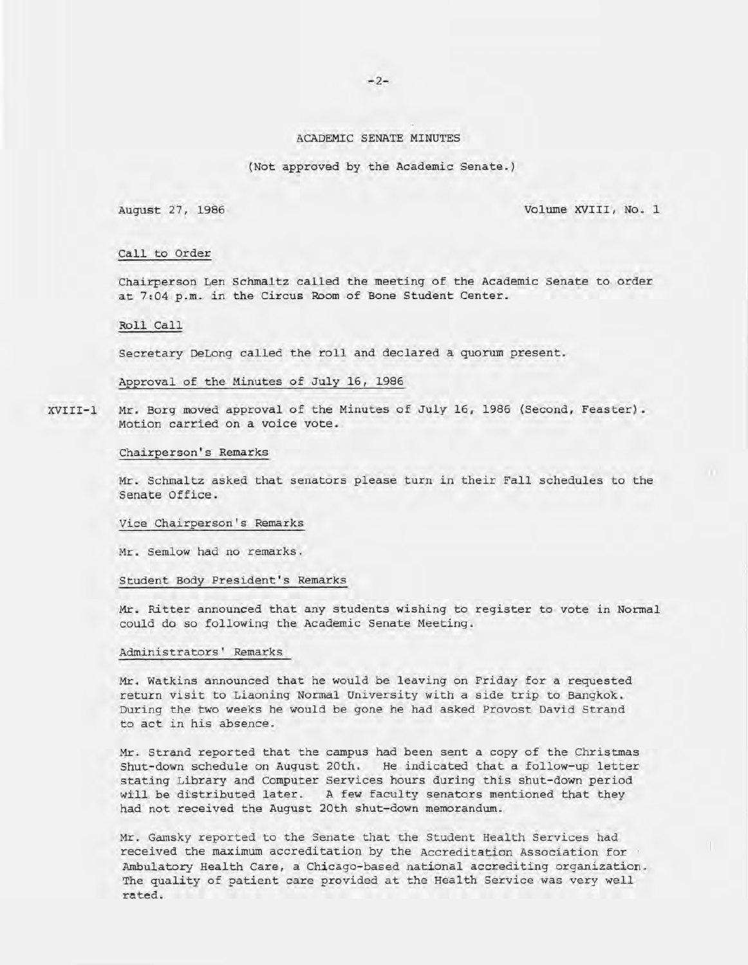#### ACADEMIC SENATE MINUTES

(Not approved by the Academic Senate.)

August 27, 1986 Volume XVIII, No. 1

#### Call to Order

Chairperson Len Schmaltz called the meeting of the Academic Senate to order at 7:04 p.m. in the Circus Room of Bone Student Center.

#### Roll Call

Secretary DeLong called the roll and declared a quorum present.

Approval of the Minutes of July 16, 1986

XVIII-l Mr. Borg moved approval of the Minutes of July 16, 1986 (Second, Feaster). Motion carried on a voice vote.

#### Chairperson's Remarks

Mr. Schmaltz asked that senators please turn in their Fall schedules to the Senate Office.

#### Vice Chairperson's Remarks

Mr. Semlow had no remarks.

Student Body President's Remarks

Mr. Ritter announced that any students wishing to register to vote in Normal could do so following the Academic Senate Meeting.

#### Administrators' Remarks

Mr. Watkins announced that he would be leaving on Friday for a requested return visit to Liaoning Normal University with a side trip to Bangkok. During the two weeks he would be gone he had asked Provost David Strand to act in his absence.

Mr. Strand reported that the campus had been sent a copy of the Christmas Shut-down schedule on August 20th. He indicated that a follow-up letter stating Library and Computer Services hours during this shut-down period will be distributed later. A few faculty senators mentioned that they had not received the August 20th shut-down memorandum.

Mr. Gamsky reported to the Senate that the Student Health Services had received the maximum accreditation by the Accreditation Association for Ambulatory Health Care, a Chicago-based national accrediting organization. The quality of patient care provided at the Health Service was very well rated .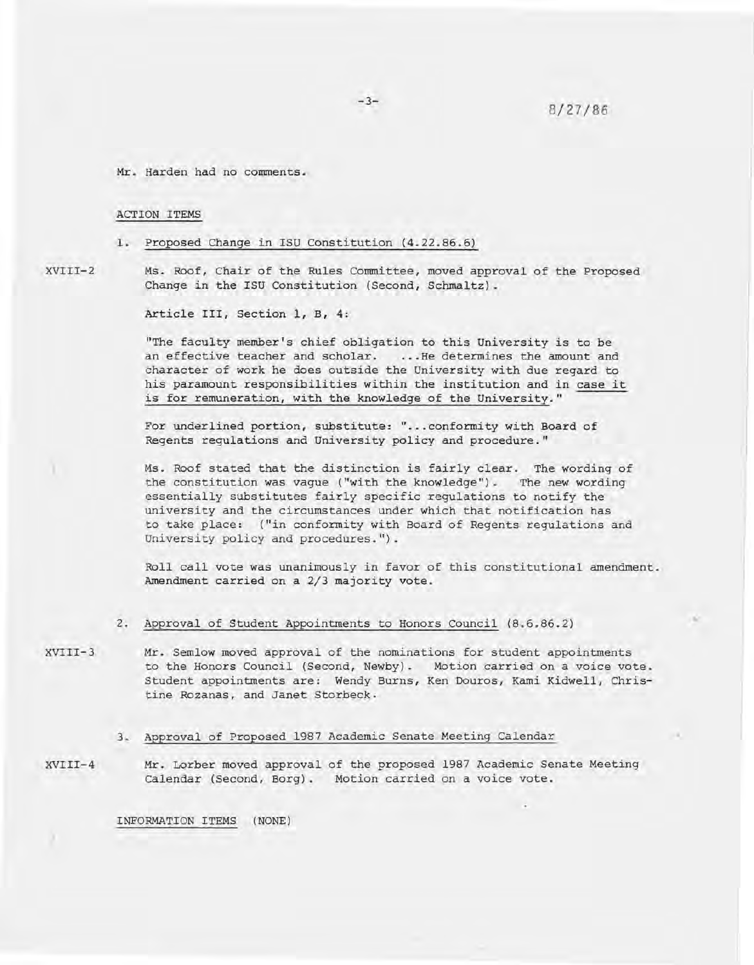Mr. Harden had no comments.

#### ACTION ITEMS

1. Proposed Change in ISU Constitution (4.22.86.6)

XVIII-2 Ms. Roof, Chair of the Rules Committee, moved approval of the Proposed Change in the ISU Constitution (Second, Schmaltz).

Article III, Section 1, B, 4:

"The faculty member's chief obligation to this University is to be an effective teacher and scholar. . .. He determines the amount and character of work he does outside the University with due regard to his paramount responsibilities within the institution and in case it is for remuneration, with the knowledge of the University."

For underlined portion, substitute: "... conformity with Board of Regents regulations and University policy and procedure . "

Ms. Roof stated that the distinction is fairly clear. The wording of the constitution was vague ("with the knowledge") . The new wording essentially substitutes fairly specific regulations to notify the university and the circumstances under which that notification has to take place: ("in conformity with Board of Regents regulations and University policy and procedures.").

Roll call vote was unanimously in favor of this constitutional amendment. Amendment carried on a 2/3 majority vote.

- 2. Approval of Student Appointments to Honors Council (8.6.86.2)
- XVIII-3 Mr. Semlow moved approval of the nominations for student appointments to the Honors Council (Second, Newby). Motion carried on a voice vote. Student appointments are: Wendy Burns, Ken Douros, Kami Kidwell, Christine Rozanas, and Janet Storbeck.

#### 3. Approval of Proposed 1987 Academic Senate Meeting Calendar

XVIII-4 Mr. Lorber moved approval of the proposed 1987 Academic Senate Meeting Calendar (Second, Borg). Motion carried on a voice vote.

INFORMATION ITEMS (NONE)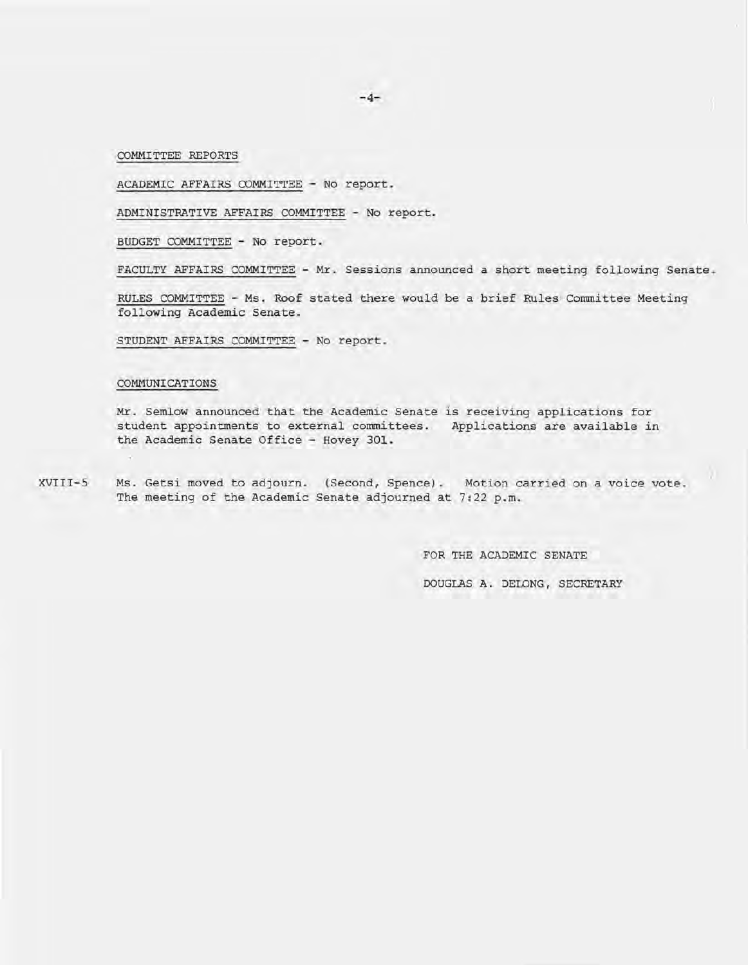$-4-$ 

COMMITTEE REPORTS

ACADEMIC AFFAIRS COMMITTEE - No report.

ADMINISTRATIVE AFFAIRS COMMITTEE - No report.

BUDGET COMMITTEE - No report.

FACULTY AFFAIRS COMMITTEE - Mr. Sessions announced a short meeting following Senate .

RULES COMMITTEE - Ms. Roof stated there would be a brief Rules Committee Meeting following Academic Senate.

STUDENT AFFAIRS COMMITTEE - No report.

#### COMMUNICATIONS

Mr. Semlow announced that the Academic Senate is receiving applications for student appointments to external committees. Applications are available in the Academic Senate Office - Hovey 301.

XVIII-S Ms. Getsi moved to adjourn. (Second, Spence). Motion carried on a voice vote. The meeting of the Academic Senate adjourned at 7:22 p.m.

FOR THE ACADEMIC SENATE

DOUGLAS A. DELONG, SECRETARY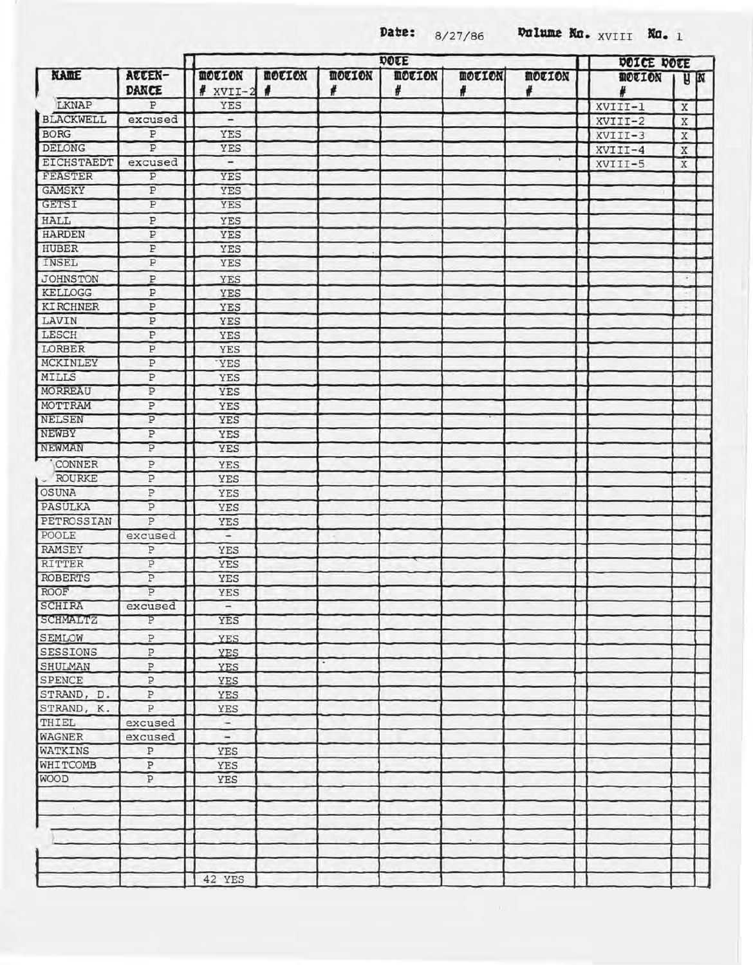**Date:**  $8/27/86$  **Dulume Ka.** XVIII **Ka.** 1

| <b>NAME</b>      | ATTEN-<br>DANCE  | DOTE                        |                    |                    |                    |                    |                    | DOICE DOCE    |                       |  |
|------------------|------------------|-----------------------------|--------------------|--------------------|--------------------|--------------------|--------------------|---------------|-----------------------|--|
|                  |                  | <b>MOTION</b><br>$*$ XVII-2 | <b>MOTION</b><br>4 | <b>MOTION</b><br># | <b>MOTION</b><br># | <b>MOTION</b><br># | <b>MOTION</b><br># | <b>MOULON</b> | <b>H</b> <sub>N</sub> |  |
| <b>LKNAP</b>     | P                | YES                         |                    |                    |                    |                    |                    | XVIII-1       | X                     |  |
| <b>BLACKWELL</b> | excused          | -                           |                    |                    |                    |                    |                    | XVIII-2       | X                     |  |
| <b>BORG</b>      | P                | YES                         |                    |                    |                    |                    |                    | XVIII-3       | $\mathbf X$           |  |
| DELONG           | P                | YES                         |                    |                    |                    |                    |                    | XVIII-4       | X                     |  |
| EICHSTAEDT       | excused          | -                           |                    |                    |                    |                    |                    | XVIII-5       | X                     |  |
| FEASTER          | P                | YES                         |                    |                    |                    |                    |                    |               |                       |  |
| <b>GAMSKY</b>    | $\, {\bf P}$     | YES                         |                    |                    |                    |                    |                    |               |                       |  |
| <b>GETSI</b>     | Ρ                | YES                         |                    |                    |                    |                    |                    |               |                       |  |
| <b>HALL</b>      | P                | YES                         |                    |                    |                    |                    |                    |               |                       |  |
| <b>HARDEN</b>    | P                | <b>YES</b>                  |                    |                    |                    |                    |                    |               |                       |  |
| <b>HUBER</b>     | $\mathbf{P}$     | YES                         |                    |                    |                    |                    |                    |               |                       |  |
| INSEL            | P                | YES                         |                    |                    |                    |                    |                    |               |                       |  |
| <b>JOHNSTON</b>  | P                | YES                         |                    |                    |                    |                    |                    |               |                       |  |
| KELLOGG          | P                | YES                         |                    |                    |                    |                    |                    |               |                       |  |
| <b>KIRCHNER</b>  | P                | YES                         |                    |                    |                    |                    |                    |               |                       |  |
| LAVIN            | $\, {\bf P}$     | YES                         |                    |                    |                    |                    |                    |               |                       |  |
| LESCH            | $\, {\bf P}$     | YES                         |                    |                    |                    |                    |                    |               |                       |  |
| LORBER           | $\, {\bf P}$     | YES                         |                    |                    |                    |                    |                    |               |                       |  |
| MCKINLEY         | Ρ                | <b>YES</b>                  |                    |                    |                    |                    |                    |               |                       |  |
| <b>MILLS</b>     | Ρ                | YES                         |                    |                    |                    |                    |                    |               |                       |  |
| MORREAU          | $\, {\bf p}$     | YES                         |                    |                    |                    |                    |                    |               |                       |  |
| MOTTRAM          | P                | YES                         |                    |                    |                    |                    |                    |               |                       |  |
| <b>NELSEN</b>    | $\, {\mathbb P}$ | YES                         |                    |                    |                    |                    |                    |               |                       |  |
| NEWBY            | P                | YES                         |                    |                    |                    |                    |                    |               |                       |  |
| <b>NEWMAN</b>    | P                | YES                         |                    |                    |                    |                    |                    |               |                       |  |
| CONNER           | P                | YES                         |                    |                    |                    |                    |                    |               |                       |  |
| <b>ROURKE</b>    | ${\tt P}$        | YES                         |                    |                    |                    |                    |                    |               |                       |  |
| <b>OSUNA</b>     | $\, {\bf P}$     | YES                         |                    |                    |                    |                    |                    |               |                       |  |
| PASULKA          | $\, {\bf P}$     | YES                         |                    |                    |                    |                    |                    |               |                       |  |
| PETROSSIAN       | P                | YES                         |                    |                    |                    |                    |                    |               |                       |  |
| POOLE            | excused          | -                           |                    |                    |                    |                    |                    |               |                       |  |
| RAMSEY           | P                | YES                         |                    |                    |                    |                    |                    |               |                       |  |
| <b>RITTER</b>    | P                | YES                         |                    |                    |                    |                    |                    |               |                       |  |
| <b>ROBERTS</b>   | P                | YES                         |                    |                    |                    |                    |                    |               |                       |  |
| ROOF             | $\overline{p}$   | YES                         |                    |                    |                    |                    |                    |               |                       |  |
| SCHIRA           | excused          | $\overline{\phantom{a}}$    |                    |                    |                    |                    |                    |               |                       |  |
| <b>SCHMALTZ</b>  | P                | YES                         |                    |                    |                    |                    |                    |               |                       |  |
| SEMLOW           | $\, {\mathbb P}$ | <b>YES</b>                  |                    |                    |                    |                    |                    |               |                       |  |
| <b>SESSIONS</b>  | $\, {\mathbb P}$ | YES                         |                    |                    |                    |                    |                    |               |                       |  |
| SHULMAN          | $\, {\mathbb P}$ | YES                         |                    |                    |                    |                    |                    |               |                       |  |
| SPENCE           | $\, {\bf p}$     | YES                         |                    |                    |                    |                    |                    |               |                       |  |
| STRAND, D.       | $\, {\bf P}$     | YES                         |                    |                    |                    |                    |                    |               |                       |  |
| STRAND, K.       | $\, {\mathbb P}$ | YES                         |                    |                    |                    |                    |                    |               |                       |  |
| THIEL            | excused          | $\overline{\phantom{a}}$    |                    |                    |                    |                    |                    |               |                       |  |
| WAGNER           | excused          | $\overline{\phantom{a}}$    |                    |                    |                    |                    |                    |               |                       |  |
| WATKINS          | $\, {\bf P}$     | YES                         |                    |                    |                    |                    |                    |               |                       |  |
| <b>WHITCOMB</b>  | $\, {\mathbb P}$ | YES                         |                    |                    |                    |                    |                    |               |                       |  |
| <b>WOOD</b>      | $\, {\bf P}$     | YES                         |                    |                    |                    |                    |                    |               |                       |  |
|                  |                  |                             |                    |                    |                    |                    |                    |               |                       |  |
|                  |                  |                             |                    |                    |                    |                    |                    |               |                       |  |
|                  |                  |                             |                    |                    |                    |                    |                    |               |                       |  |
|                  |                  |                             |                    |                    |                    |                    |                    |               |                       |  |
|                  |                  |                             |                    |                    |                    |                    |                    |               |                       |  |
|                  |                  |                             |                    |                    |                    |                    |                    |               |                       |  |
|                  |                  | 42 YES                      |                    |                    |                    |                    |                    |               |                       |  |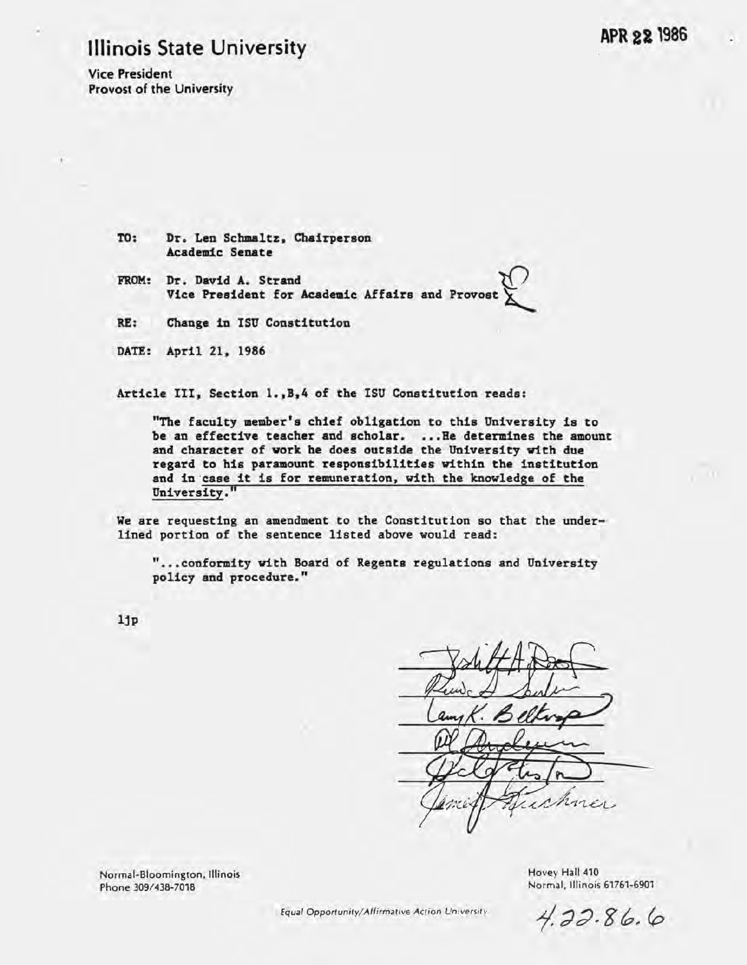# Illinois State University

Vice President Provost of the University

> TO: Dr. Len Schmaltz, Chairperson Academic Senate

FROM: Dr. David A. Strand Dr. David A. Strand<br>Vice President for Academic Affairs and Provost  $\hat{\kappa}$ 

RE: Change in ISU Constitution

DATE: April 21, 1986

Article III, Section 1.,B,4 of the ISU Constitution reads:

"The faculty member's chief obligation to this University is to be an effective teacher and scholar. • •• He determines the amount and character of work he does outside the University with due regard to his paramount responsibilities within the institution and in 'case it is for remuneration, with the knowledge of the University."

We are requesting an amendment to the Constitution so that the underlined portion of the sentence listed above would read:

" ••• conformity with Board of Regents regulations and University policy and procedure."

ljp

non ı M

Normal-Bloomington. Illinois Phone *309/438-7018* 

Hovey Hall 410 Normal. Illinois 61761-6901

Equal *Opportunityl* Affirmative Action University

 $4.22.86.6$